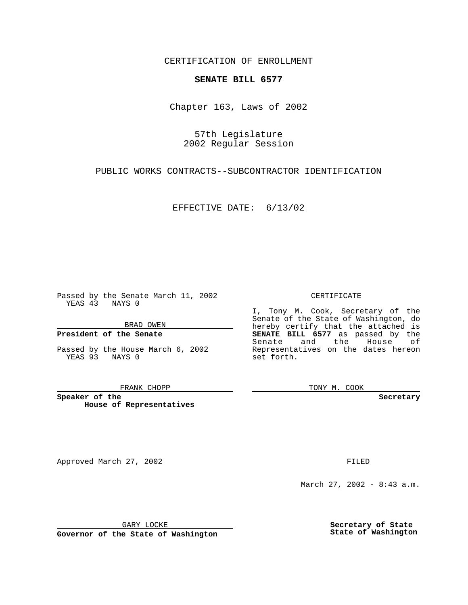CERTIFICATION OF ENROLLMENT

# **SENATE BILL 6577**

Chapter 163, Laws of 2002

57th Legislature 2002 Regular Session

PUBLIC WORKS CONTRACTS--SUBCONTRACTOR IDENTIFICATION

EFFECTIVE DATE: 6/13/02

Passed by the Senate March 11, 2002 YEAS 43 NAYS 0

BRAD OWEN

## **President of the Senate**

Passed by the House March 6, 2002 YEAS 93 NAYS 0

#### FRANK CHOPP

**Speaker of the House of Representatives**

Approved March 27, 2002 **FILED** 

#### CERTIFICATE

I, Tony M. Cook, Secretary of the Senate of the State of Washington, do hereby certify that the attached is **SENATE BILL 6577** as passed by the Senate and the House of Representatives on the dates hereon set forth.

TONY M. COOK

**Secretary**

March 27, 2002 - 8:43 a.m.

GARY LOCKE

**Governor of the State of Washington**

**Secretary of State State of Washington**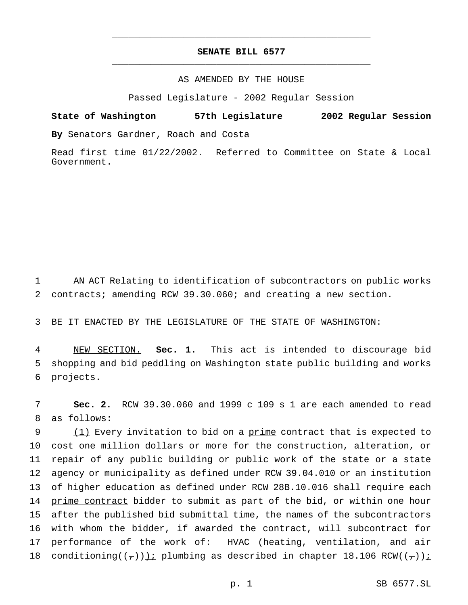# **SENATE BILL 6577** \_\_\_\_\_\_\_\_\_\_\_\_\_\_\_\_\_\_\_\_\_\_\_\_\_\_\_\_\_\_\_\_\_\_\_\_\_\_\_\_\_\_\_\_\_\_\_

\_\_\_\_\_\_\_\_\_\_\_\_\_\_\_\_\_\_\_\_\_\_\_\_\_\_\_\_\_\_\_\_\_\_\_\_\_\_\_\_\_\_\_\_\_\_\_

## AS AMENDED BY THE HOUSE

Passed Legislature - 2002 Regular Session

## **State of Washington 57th Legislature 2002 Regular Session**

**By** Senators Gardner, Roach and Costa

Read first time 01/22/2002. Referred to Committee on State & Local Government.

1 AN ACT Relating to identification of subcontractors on public works 2 contracts; amending RCW 39.30.060; and creating a new section.

3 BE IT ENACTED BY THE LEGISLATURE OF THE STATE OF WASHINGTON:

4 NEW SECTION. **Sec. 1.** This act is intended to discourage bid 5 shopping and bid peddling on Washington state public building and works 6 projects.

7 **Sec. 2.** RCW 39.30.060 and 1999 c 109 s 1 are each amended to read 8 as follows:

9 (1) Every invitation to bid on a prime contract that is expected to 10 cost one million dollars or more for the construction, alteration, or 11 repair of any public building or public work of the state or a state 12 agency or municipality as defined under RCW 39.04.010 or an institution 13 of higher education as defined under RCW 28B.10.016 shall require each 14 prime contract bidder to submit as part of the bid, or within one hour 15 after the published bid submittal time, the names of the subcontractors 16 with whom the bidder, if awarded the contract, will subcontract for 17 performance of the work of: HVAC (heating, ventilation, and air 18 conditioning( $(\tau)$ )); plumbing as described in chapter 18.106 RCW( $(\tau)$ );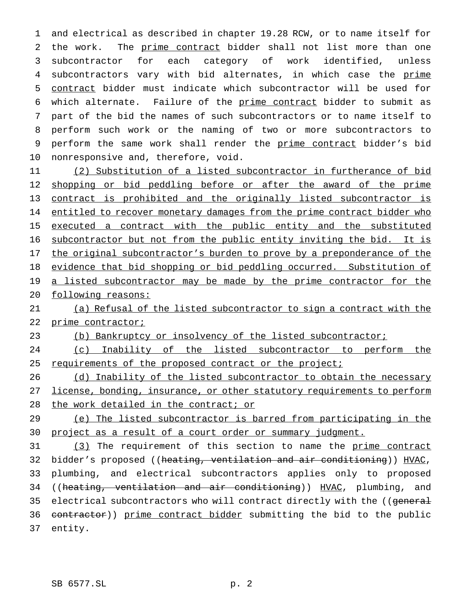and electrical as described in chapter 19.28 RCW, or to name itself for the work. The prime contract bidder shall not list more than one subcontractor for each category of work identified, unless 4 subcontractors vary with bid alternates, in which case the prime contract bidder must indicate which subcontractor will be used for 6 which alternate. Failure of the prime contract bidder to submit as part of the bid the names of such subcontractors or to name itself to perform such work or the naming of two or more subcontractors to 9 perform the same work shall render the prime contract bidder's bid nonresponsive and, therefore, void.

11 (2) Substitution of a listed subcontractor in furtherance of bid 12 shopping or bid peddling before or after the award of the prime 13 contract is prohibited and the originally listed subcontractor is 14 entitled to recover monetary damages from the prime contract bidder who 15 executed a contract with the public entity and the substituted 16 subcontractor but not from the public entity inviting the bid. It is 17 the original subcontractor's burden to prove by a preponderance of the 18 evidence that bid shopping or bid peddling occurred. Substitution of 19 a listed subcontractor may be made by the prime contractor for the 20 following reasons:

21 (a) Refusal of the listed subcontractor to sign a contract with the 22 prime contractor;

23 (b) Bankruptcy or insolvency of the listed subcontractor;

24 (c) Inability of the listed subcontractor to perform the 25 requirements of the proposed contract or the project;

26 (d) Inability of the listed subcontractor to obtain the necessary 27 license, bonding, insurance, or other statutory requirements to perform 28 the work detailed in the contract; or

29 (e) The listed subcontractor is barred from participating in the 30 project as a result of a court order or summary judgment.

31 (3) The requirement of this section to name the prime contract 32 bidder's proposed ((heating, ventilation and air conditioning)) HVAC, 33 plumbing, and electrical subcontractors applies only to proposed 34 ((heating, ventilation and air conditioning)) HVAC, plumbing, and 35 electrical subcontractors who will contract directly with the ((general 36 contractor)) prime contract bidder submitting the bid to the public 37 entity.